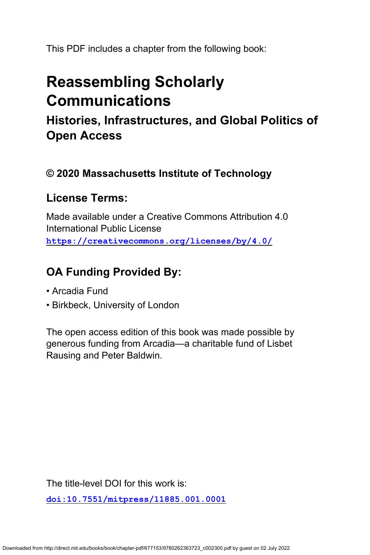This PDF includes a chapter from the following book:

# **Reassembling Scholarly Communications**

**Histories, Infrastructures, and Global Politics of Open Access**

# **© 2020 Massachusetts Institute of Technology**

# **License Terms:**

Made available under a Creative Commons Attribution 4.0 International Public License **<https://creativecommons.org/licenses/by/4.0/>**

# **OA Funding Provided By:**

- Arcadia Fund
- Birkbeck, University of London

The open access edition of this book was made possible by generous funding from Arcadia—a charitable fund of Lisbet Rausing and Peter Baldwin.

The title-level DOI for this work is:

**[doi:10.7551/mitpress/11885.001.0001](https://doi.org/10.7551/mitpress/11885.001.0001)**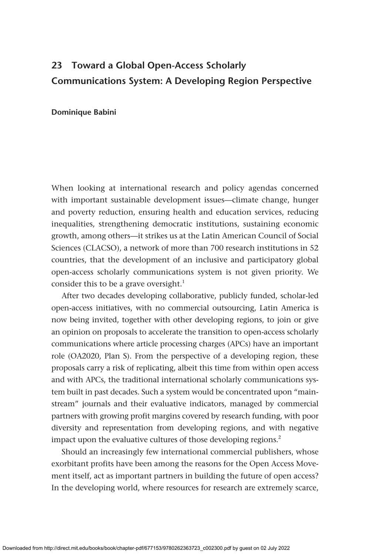# **23 Toward a Global Open-Access Scholarly Communications System: A Developing Region Perspective**

#### **Dominique Babini**

When looking at international research and policy agendas concerned with important sustainable development issues—climate change, hunger and poverty reduction, ensuring health and education services, reducing inequalities, strengthening democratic institutions, sustaining economic growth, among others—it strikes us at the Latin American Council of Social Sciences (CLACSO), a network of more than 700 research institutions in 52 countries, that the development of an inclusive and participatory global open-access scholarly communications system is not given priority. We consider this to be a grave oversight.<sup>1</sup>

After two decades developing collaborative, publicly funded, scholar-led open-access initiatives, with no commercial outsourcing, Latin America is now being invited, together with other developing regions, to join or give an opinion on proposals to accelerate the transition to open-access scholarly communications where article processing charges (APCs) have an important role (OA2020, Plan S). From the perspective of a developing region, these proposals carry a risk of replicating, albeit this time from within open access and with APCs, the traditional international scholarly communications system built in past decades. Such a system would be concentrated upon "mainstream" journals and their evaluative indicators, managed by commercial partners with growing profit margins covered by research funding, with poor diversity and representation from developing regions, and with negative impact upon the evaluative cultures of those developing regions.<sup>2</sup>

Should an increasingly few international commercial publishers, whose exorbitant profits have been among the reasons for the Open Access Movement itself, act as important partners in building the future of open access? In the developing world, where resources for research are extremely scarce,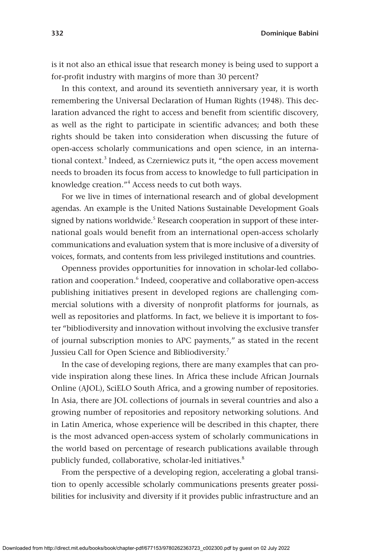**332 Dominique Babini**

is it not also an ethical issue that research money is being used to support a for-profit industry with margins of more than 30 percent?

In this context, and around its seventieth anniversary year, it is worth remembering the Universal Declaration of Human Rights (1948). This declaration advanced the right to access and benefit from scientific discovery, as well as the right to participate in scientific advances; and both these rights should be taken into consideration when discussing the future of open-access scholarly communications and open science, in an international context.<sup>3</sup> Indeed, as Czerniewicz puts it, "the open access movement needs to broaden its focus from access to knowledge to full participation in knowledge creation."4 Access needs to cut both ways.

For we live in times of international research and of global development agendas. An example is the United Nations Sustainable Development Goals signed by nations worldwide.<sup>5</sup> Research cooperation in support of these international goals would benefit from an international open-access scholarly communications and evaluation system that is more inclusive of a diversity of voices, formats, and contents from less privileged institutions and countries.

Openness provides opportunities for innovation in scholar-led collaboration and cooperation.<sup>6</sup> Indeed, cooperative and collaborative open-access publishing initiatives present in developed regions are challenging commercial solutions with a diversity of nonprofit platforms for journals, as well as repositories and platforms. In fact, we believe it is important to foster "bibliodiversity and innovation without involving the exclusive transfer of journal subscription monies to APC payments," as stated in the recent Jussieu Call for Open Science and Bibliodiversity.<sup>7</sup>

In the case of developing regions, there are many examples that can provide inspiration along these lines. In Africa these include African Journals Online (AJOL), SciELO South Africa, and a growing number of repositories. In Asia, there are JOL collections of journals in several countries and also a growing number of repositories and repository networking solutions. And in Latin America, whose experience will be described in this chapter, there is the most advanced open-access system of scholarly communications in the world based on percentage of research publications available through publicly funded, collaborative, scholar-led initiatives.<sup>8</sup>

From the perspective of a developing region, accelerating a global transition to openly accessible scholarly communications presents greater possibilities for inclusivity and diversity if it provides public infrastructure and an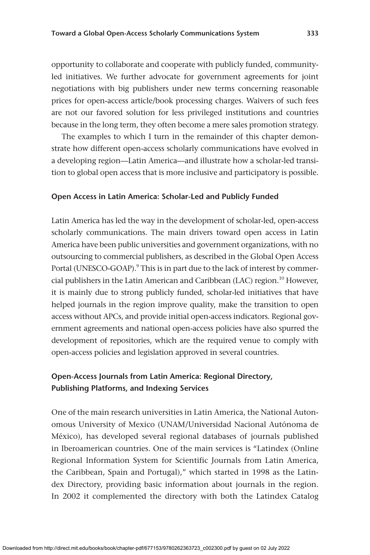opportunity to collaborate and cooperate with publicly funded, communityled initiatives. We further advocate for government agreements for joint negotiations with big publishers under new terms concerning reasonable prices for open-access article/book processing charges. Waivers of such fees are not our favored solution for less privileged institutions and countries because in the long term, they often become a mere sales promotion strategy.

The examples to which I turn in the remainder of this chapter demonstrate how different open-access scholarly communications have evolved in a developing region—Latin America—and illustrate how a scholar-led transition to global open access that is more inclusive and participatory is possible.

### **Open Access in Latin America: Scholar-Led and Publicly Funded**

Latin America has led the way in the development of scholar-led, open-access scholarly communications. The main drivers toward open access in Latin America have been public universities and government organizations, with no outsourcing to commercial publishers, as described in the Global Open Access Portal (UNESCO-GOAP).<sup>9</sup> This is in part due to the lack of interest by commercial publishers in the Latin American and Caribbean (LAC) region.<sup>10</sup> However, it is mainly due to strong publicly funded, scholar-led initiatives that have helped journals in the region improve quality, make the transition to open access without APCs, and provide initial open-access indicators. Regional government agreements and national open-access policies have also spurred the development of repositories, which are the required venue to comply with open-access policies and legislation approved in several countries.

# **Open-Access Journals from Latin America: Regional Directory, Publishing Platforms, and Indexing Services**

One of the main research universities in Latin America, the National Autonomous University of Mexico (UNAM/Universidad Nacional Autónoma de México), has developed several regional databases of journals published in Iberoamerican countries. One of the main services is "Latindex (Online Regional Information System for Scientific Journals from Latin America, the Caribbean, Spain and Portugal)," which started in 1998 as the Latindex Directory, providing basic information about journals in the region. In 2002 it complemented the directory with both the Latindex Catalog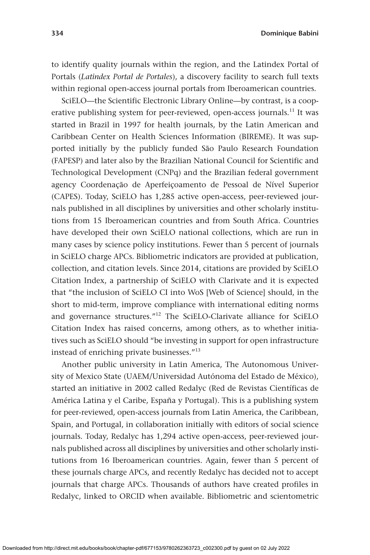to identify quality journals within the region, and the Latindex Portal of Portals (*Latindex Portal de Portales*), a discovery facility to search full texts within regional open-access journal portals from Iberoamerican countries.

SciELO—the Scientific Electronic Library Online—by contrast, is a cooperative publishing system for peer-reviewed, open-access journals.<sup>11</sup> It was started in Brazil in 1997 for health journals, by the Latin American and Caribbean Center on Health Sciences Information (BIREME). It was supported initially by the publicly funded São Paulo Research Foundation (FAPESP) and later also by the Brazilian National Council for Scientific and Technological Development (CNPq) and the Brazilian federal government agency Coordenação de Aperfeiçoamento de Pessoal de Nível Superior (CAPES). Today, SciELO has 1,285 active open-access, peer-reviewed journals published in all disciplines by universities and other scholarly institutions from 15 Iberoamerican countries and from South Africa. Countries have developed their own SciELO national collections, which are run in many cases by science policy institutions. Fewer than 5 percent of journals in SciELO charge APCs. Bibliometric indicators are provided at publication, collection, and citation levels. Since 2014, citations are provided by SciELO Citation Index, a partnership of SciELO with Clarivate and it is expected that "the inclusion of SciELO CI into WoS [Web of Science] should, in the short to mid-term, improve compliance with international editing norms and governance structures."12 The SciELO-Clarivate alliance for SciELO Citation Index has raised concerns, among others, as to whether initiatives such as SciELO should "be investing in support for open infrastructure instead of enriching private businesses."<sup>13</sup>

Another public university in Latin America, The Autonomous University of Mexico State (UAEM/Universidad Autónoma del Estado de México), started an initiative in 2002 called Redalyc (Red de Revistas Científicas de América Latina y el Caribe, España y Portugal). This is a publishing system for peer-reviewed, open-access journals from Latin America, the Caribbean, Spain, and Portugal, in collaboration initially with editors of social science journals. Today, Redalyc has 1,294 active open-access, peer-reviewed journals published across all disciplines by universities and other scholarly institutions from 16 Iberoamerican countries. Again, fewer than 5 percent of these journals charge APCs, and recently Redalyc has decided not to accept journals that charge APCs. Thousands of authors have created profiles in Redalyc, linked to ORCID when available. Bibliometric and scientometric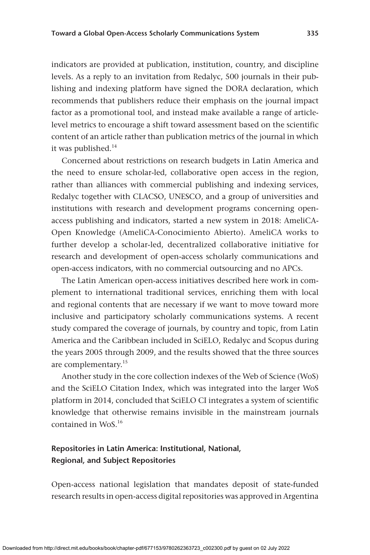indicators are provided at publication, institution, country, and discipline levels. As a reply to an invitation from Redalyc, 500 journals in their publishing and indexing platform have signed the DORA declaration, which recommends that publishers reduce their emphasis on the journal impact factor as a promotional tool, and instead make available a range of articlelevel metrics to encourage a shift toward assessment based on the scientific content of an article rather than publication metrics of the journal in which it was published.<sup>14</sup>

Concerned about restrictions on research budgets in Latin America and the need to ensure scholar-led, collaborative open access in the region, rather than alliances with commercial publishing and indexing services, Redalyc together with CLACSO, UNESCO, and a group of universities and institutions with research and development programs concerning openaccess publishing and indicators, started a new system in 2018: AmeliCA-Open Knowledge (AmeliCA-Conocimiento Abierto). AmeliCA works to further develop a scholar-led, decentralized collaborative initiative for research and development of open-access scholarly communications and open-access indicators, with no commercial outsourcing and no APCs.

The Latin American open-access initiatives described here work in complement to international traditional services, enriching them with local and regional contents that are necessary if we want to move toward more inclusive and participatory scholarly communications systems. A recent study compared the coverage of journals, by country and topic, from Latin America and the Caribbean included in SciELO, Redalyc and Scopus during the years 2005 through 2009, and the results showed that the three sources are complementary.<sup>15</sup>

Another study in the core collection indexes of the Web of Science (WoS) and the SciELO Citation Index, which was integrated into the larger WoS platform in 2014, concluded that SciELO CI integrates a system of scientific knowledge that otherwise remains invisible in the mainstream journals contained in WoS<sup>16</sup>

# **Repositories in Latin America: Institutional, National, Regional, and Subject Repositories**

Open-access national legislation that mandates deposit of state-funded research results in open-access digital repositories was approved in Argentina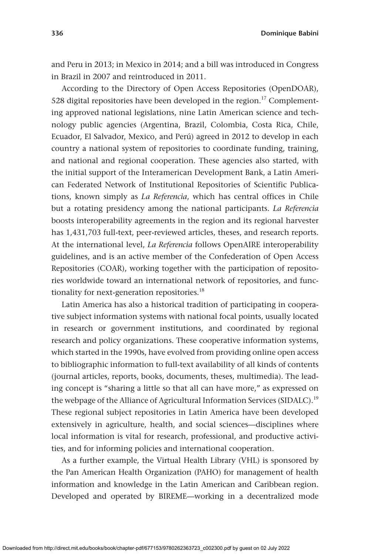**336 Dominique Babini**

and Peru in 2013; in Mexico in 2014; and a bill was introduced in Congress in Brazil in 2007 and reintroduced in 2011.

According to the Directory of Open Access Repositories (OpenDOAR), 528 digital repositories have been developed in the region.<sup>17</sup> Complementing approved national legislations, nine Latin American science and technology public agencies (Argentina, Brazil, Colombia, Costa Rica, Chile, Ecuador, El Salvador, Mexico, and Perú) agreed in 2012 to develop in each country a national system of repositories to coordinate funding, training, and national and regional cooperation. These agencies also started, with the initial support of the Interamerican Development Bank, a Latin American Federated Network of Institutional Repositories of Scientific Publications, known simply as *La Referencia*, which has central offices in Chile but a rotating presidency among the national participants. *La Referencia* boosts interoperability agreements in the region and its regional harvester has 1,431,703 full-text, peer-reviewed articles, theses, and research reports. At the international level, *La Referencia* follows OpenAIRE interoperability guidelines, and is an active member of the Confederation of Open Access Repositories (COAR), working together with the participation of repositories worldwide toward an international network of repositories, and functionality for next-generation repositories. $^{18}$ 

Latin America has also a historical tradition of participating in cooperative subject information systems with national focal points, usually located in research or government institutions, and coordinated by regional research and policy organizations. These cooperative information systems, which started in the 1990s, have evolved from providing online open access to bibliographic information to full-text availability of all kinds of contents (journal articles, reports, books, documents, theses, multimedia). The leading concept is "sharing a little so that all can have more," as expressed on the webpage of the Alliance of Agricultural Information Services (SIDALC).<sup>19</sup> These regional subject repositories in Latin America have been developed extensively in agriculture, health, and social sciences—disciplines where local information is vital for research, professional, and productive activities, and for informing policies and international cooperation.

As a further example, the Virtual Health Library (VHL) is sponsored by the Pan American Health Organization (PAHO) for management of health information and knowledge in the Latin American and Caribbean region. Developed and operated by BIREME—working in a decentralized mode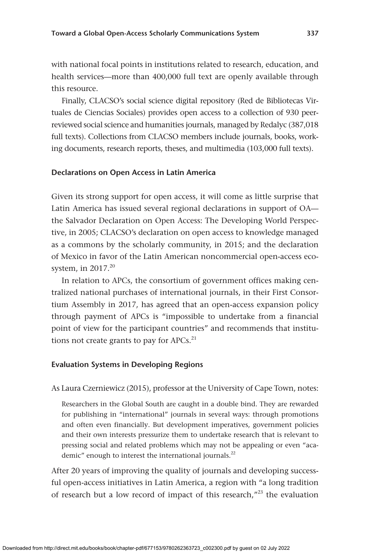with national focal points in institutions related to research, education, and health services—more than 400,000 full text are openly available through this resource.

Finally, CLACSO's social science digital repository (Red de Bibliotecas Virtuales de Ciencias Sociales) provides open access to a collection of 930 peerreviewed social science and humanities journals, managed by Redalyc (387,018 full texts). Collections from CLACSO members include journals, books, working documents, research reports, theses, and multimedia (103,000 full texts).

### **Declarations on Open Access in Latin America**

Given its strong support for open access, it will come as little surprise that Latin America has issued several regional declarations in support of OA the Salvador Declaration on Open Access: The Developing World Perspective, in 2005; CLACSO's declaration on open access to knowledge managed as a commons by the scholarly community, in 2015; and the declaration of Mexico in favor of the Latin American noncommercial open-access ecosystem, in  $2017.^{20}$ 

In relation to APCs, the consortium of government offices making centralized national purchases of international journals, in their First Consortium Assembly in 2017, has agreed that an open-access expansion policy through payment of APCs is "impossible to undertake from a financial point of view for the participant countries" and recommends that institutions not create grants to pay for  $APCs.<sup>21</sup>$ 

### **Evaluation Systems in Developing Regions**

As Laura Czerniewicz (2015), professor at the University of Cape Town, notes:

Researchers in the Global South are caught in a double bind. They are rewarded for publishing in "international" journals in several ways: through promotions and often even financially. But development imperatives, government policies and their own interests pressurize them to undertake research that is relevant to pressing social and related problems which may not be appealing or even "academic" enough to interest the international journals.<sup>22</sup>

After 20 years of improving the quality of journals and developing successful open-access initiatives in Latin America, a region with "a long tradition of research but a low record of impact of this research,"23 the evaluation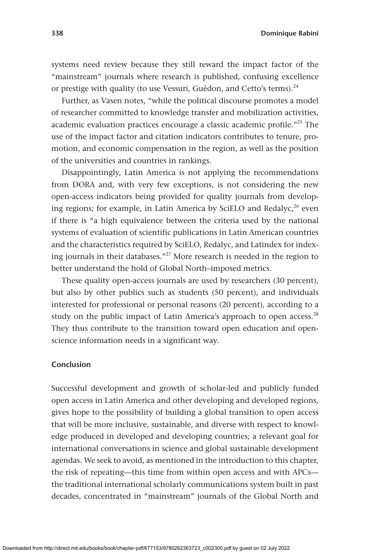systems need review because they still reward the impact factor of the "mainstream" journals where research is published, confusing excellence or prestige with quality (to use Vessuri, Guédon, and Cetto's terms).<sup>24</sup>

Further, as Vasen notes, "while the political discourse promotes a model of researcher committed to knowledge transfer and mobilization activities, academic evaluation practices encourage a classic academic profile."<sup>25</sup> The use of the impact factor and citation indicators contributes to tenure, promotion, and economic compensation in the region, as well as the position of the universities and countries in rankings.

Disappointingly, Latin America is not applying the recommendations from DORA and, with very few exceptions, is not considering the new open-access indicators being provided for quality journals from developing regions; for example, in Latin America by SciELO and Redalyc, $^{26}$  even if there is "a high equivalence between the criteria used by the national systems of evaluation of scientific publications in Latin American countries and the characteristics required by SciELO, Redalyc, and Latindex for indexing journals in their databases."<sup>27</sup> More research is needed in the region to better understand the hold of Global North–imposed metrics.

These quality open-access journals are used by researchers (30 percent), but also by other publics such as students (50 percent), and individuals interested for professional or personal reasons (20 percent), according to a study on the public impact of Latin America's approach to open access.<sup>28</sup> They thus contribute to the transition toward open education and openscience information needs in a significant way.

### **Conclusion**

Successful development and growth of scholar-led and publicly funded open access in Latin America and other developing and developed regions, gives hope to the possibility of building a global transition to open access that will be more inclusive, sustainable, and diverse with respect to knowledge produced in developed and developing countries; a relevant goal for international conversations in science and global sustainable development agendas. We seek to avoid, as mentioned in the introduction to this chapter, the risk of repeating—this time from within open access and with APCs the traditional international scholarly communications system built in past decades, concentrated in "mainstream" journals of the Global North and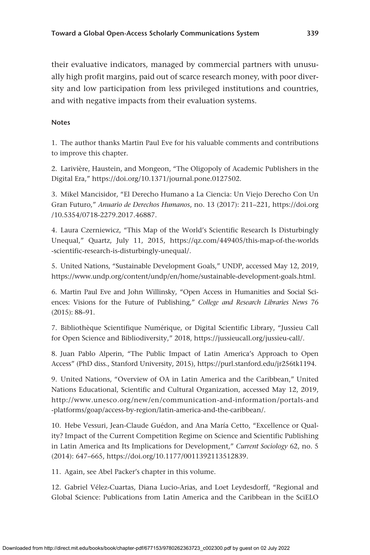their evaluative indicators, managed by commercial partners with unusually high profit margins, paid out of scarce research money, with poor diversity and low participation from less privileged institutions and countries, and with negative impacts from their evaluation systems.

### **Notes**

1. The author thanks Martin Paul Eve for his valuable comments and contributions to improve this chapter.

2. Larivière, Haustein, and Mongeon, "The Oligopoly of Academic Publishers in the Digital Era," [https://doi.org/10.1371/journal.pone.0127502.](https://doi.org/10.1371/journal.pone.0127502)

3. Mikel Mancisidor, "El Derecho Humano a La Ciencia: Un Viejo Derecho Con Un Gran Futuro," *Anuario de Derechos Humanos*, no. 13 (2017): 211–221, [https://doi.org](https://doi.org/10.5354/0718-2279.2017.46887) [/10.5354/0718-2279.2017.46887.](https://doi.org/10.5354/0718-2279.2017.46887)

4. Laura Czerniewicz, "This Map of the World's Scientific Research Is Disturbingly Unequal," Quartz, July 11, 2015, [https://qz.com/449405/this-map-of-the-worlds](https://qz.com/449405/this-map-of-the-worlds-scientific-research-is-disturbingly-unequal/) [-scientific-research-is-disturbingly-unequal/.](https://qz.com/449405/this-map-of-the-worlds-scientific-research-is-disturbingly-unequal/)

5. United Nations, "Sustainable Development Goals," UNDP, accessed May 12, 2019, <https://www.undp.org/content/undp/en/home/sustainable-development-goals.html>.

6. Martin Paul Eve and John Willinsky, "Open Access in Humanities and Social Sciences: Visions for the Future of Publishing," *College and Research Libraries News* 76 (2015): 88–91.

7. Bibliothèque Scientifique Numérique, or Digital Scientific Library, "Jussieu Call for Open Science and Bibliodiversity," 2018, <https://jussieucall.org/jussieu-call/>.

8. Juan Pablo Alperin, "The Public Impact of Latin America's Approach to Open Access" (PhD diss., Stanford University, 2015),<https://purl.stanford.edu/jr256tk1194>.

9. United Nations, "Overview of OA in Latin America and the Caribbean," United Nations Educational, Scientific and Cultural Organization, accessed May 12, 2019, [http://www.unesco.org/new/en/communication-and-information/portals-and](http://www.unesco.org/new/en/communication-and-information/portals-and-platforms/goap/access-by-region/latin-america-and-the-caribbean/) [-platforms/goap/access-by-region/latin-america-and-the-caribbean/.](http://www.unesco.org/new/en/communication-and-information/portals-and-platforms/goap/access-by-region/latin-america-and-the-caribbean/)

10. Hebe Vessuri, Jean-Claude Guédon, and Ana María Cetto, "Excellence or Quality? Impact of the Current Competition Regime on Science and Scientific Publishing in Latin America and Its Implications for Development," *Current Sociology* 62, no. 5 (2014): 647–665, [https://doi.org/10.1177/0011392113512839.](https://doi.org/10.1177/0011392113512839)

11. Again, see Abel Packer's chapter in this volume.

12. Gabriel Vélez-Cuartas, Diana Lucio-Arias, and Loet Leydesdorff, "Regional and Global Science: Publications from Latin America and the Caribbean in the SciELO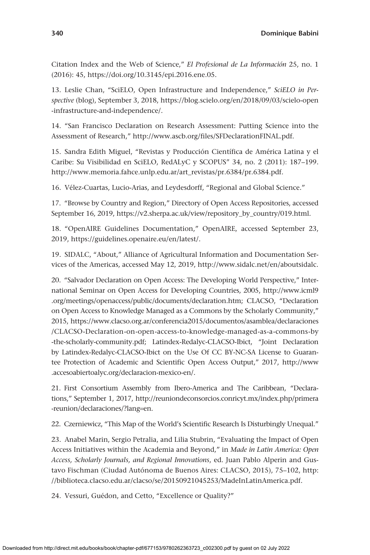Citation Index and the Web of Science," *El Profesional de La Información* 25, no. 1 (2016): 45, [https://doi.org/10.3145/epi.2016.ene.05.](https://doi.org/10.3145/epi.2016.ene.05)

13. Leslie Chan, "SciELO, Open Infrastructure and Independence," *SciELO in Perspective* (blog), September 3, 2018, [https://blog.scielo.org/en/2018/09/03/scielo-open](https://blog.scielo.org/en/2018/09/03/scielo-open-infrastructure-and-independence/) [-infrastructure-and-independence/.](https://blog.scielo.org/en/2018/09/03/scielo-open-infrastructure-and-independence/)

14. "San Francisco Declaration on Research Assessment: Putting Science into the Assessment of Research,"<http://www.ascb.org/files/SFDeclarationFINAL.pdf>.

15. Sandra Edith Miguel, "Revistas y Producción Científica de América Latina y el Caribe: Su Visibilidad en SciELO, RedALyC y SCOPUS" 34, no. 2 (2011): 187–199. [http://www.memoria.fahce.unlp.edu.ar/art\\_revistas/pr.6384/pr.6384.pdf.](http://www.memoria.fahce.unlp.edu.ar/art_revistas/pr.6384/pr.6384.pdf)

16. Vélez-Cuartas, Lucio-Arias, and Leydesdorff, "Regional and Global Science."

17. "Browse by Country and Region," Directory of Open Access Repositories, accessed September 16, 2019, [https://v2.sherpa.ac.uk/view/repository\\_by\\_country/019.html.](https://v2.sherpa.ac.uk/view/repository_by_country/019.html)

18. "OpenAIRE Guidelines Documentation," OpenAIRE, accessed September 23, 2019, <https://guidelines.openaire.eu/en/latest/>.

19. SIDALC, "About," Alliance of Agricultural Information and Documentation Services of the Americas, accessed May 12, 2019, [http://www.sidalc.net/en/aboutsidalc.](http://www.sidalc.net/en/aboutsidalc)

20. "Salvador Declaration on Open Access: The Developing World Perspective," International Seminar on Open Access for Developing Countries, 2005, [http://www.icml9](http://www.icml9.org/meetings/openaccess/public/documents/declaration.htm) [.org/meetings/openaccess/public/documents/declaration.htm;](http://www.icml9.org/meetings/openaccess/public/documents/declaration.htm) CLACSO, "Declaration on Open Access to Knowledge Managed as a Commons by the Scholarly Community," 2015, [https://www.clacso.org.ar/conferencia2015/documentos/asamblea/declaraciones](https://www.clacso.org.ar/conferencia2015/documentos/asamblea/declaraciones/CLACSO-Declaration-on-open-access-to-knowledge-managed-as-a-commons-by-the-scholarly-community.pdf) [/CLACSO-Declaration-on-open-access-to-knowledge-managed-as-a-commons-by](https://www.clacso.org.ar/conferencia2015/documentos/asamblea/declaraciones/CLACSO-Declaration-on-open-access-to-knowledge-managed-as-a-commons-by-the-scholarly-community.pdf) [-the-scholarly-community.pdf;](https://www.clacso.org.ar/conferencia2015/documentos/asamblea/declaraciones/CLACSO-Declaration-on-open-access-to-knowledge-managed-as-a-commons-by-the-scholarly-community.pdf) Latindex-Redalyc-CLACSO-Ibict, "Joint Declaration by Latindex-Redalyc-CLACSO-Ibict on the Use Of CC BY-NC-SA License to Guarantee Protection of Academic and Scientific Open Access Output," 2017, [http://www](http://www.accesoabiertoalyc.org/declaracion-mexico-en/) [.accesoabiertoalyc.org/declaracion-mexico-en/.](http://www.accesoabiertoalyc.org/declaracion-mexico-en/)

21. First Consortium Assembly from Ibero-America and The Caribbean, "Declarations," September 1, 2017, [http://reuniondeconsorcios.conricyt.mx/index.php/primera](http://reuniondeconsorcios.conricyt.mx/index.php/primera-reunion/declaraciones/?lang=en) [-reunion/declaraciones/?lang](http://reuniondeconsorcios.conricyt.mx/index.php/primera-reunion/declaraciones/?lang=en)=en.

22. Czerniewicz, "This Map of the World's Scientific Research Is Disturbingly Unequal."

23. Anabel Marin, Sergio Petralia, and Lilia Stubrin, "Evaluating the Impact of Open Access Initiatives within the Academia and Beyond," in *Made in Latin America: Open Access, Scholarly Journals, and Regional Innovations*, ed. Juan Pablo Alperin and Gustavo Fischman (Ciudad Autónoma de Buenos Aires: CLACSO, 2015), 75–102, [http:](http://biblioteca.clacso.edu.ar/clacso/se/20150921045253/MadeInLatinAmerica.pdf) [//biblioteca.clacso.edu.ar/clacso/se/20150921045253/MadeInLatinAmerica.pdf](http://biblioteca.clacso.edu.ar/clacso/se/20150921045253/MadeInLatinAmerica.pdf).

24. Vessuri, Guédon, and Cetto, "Excellence or Quality?"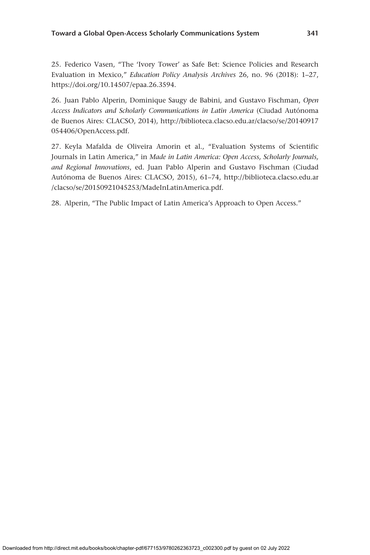25. Federico Vasen, "The 'Ivory Tower' as Safe Bet: Science Policies and Research Evaluation in Mexico," *Education Policy Analysis Archives* 26, no. 96 (2018): 1–27, <https://doi.org/10.14507/epaa.26.3594>.

26. Juan Pablo Alperin, Dominique Saugy de Babini, and Gustavo Fischman, *Open Access Indicators and Scholarly Communications in Latin America* (Ciudad Autónoma de Buenos Aires: CLACSO, 2014), [http://biblioteca.clacso.edu.ar/clacso/se/20140917](http://biblioteca.clacso.edu.ar/clacso/se/20140917054406/OpenAccess.pdf) [054406/OpenAccess.pdf.](http://biblioteca.clacso.edu.ar/clacso/se/20140917054406/OpenAccess.pdf)

27. Keyla Mafalda de Oliveira Amorin et al., "Evaluation Systems of Scientific Journals in Latin America," in *Made in Latin America: Open Access, Scholarly Journals, and Regional Innovations*, ed. Juan Pablo Alperin and Gustavo Fischman (Ciudad Autónoma de Buenos Aires: CLACSO, 2015), 61–74, [http://biblioteca.clacso.edu.ar](http://biblioteca.clacso.edu.ar/clacso/se/20150921045253/MadeInLatinAmerica.pdf) [/clacso/se/20150921045253/MadeInLatinAmerica.pdf.](http://biblioteca.clacso.edu.ar/clacso/se/20150921045253/MadeInLatinAmerica.pdf)

28. Alperin, "The Public Impact of Latin America's Approach to Open Access."